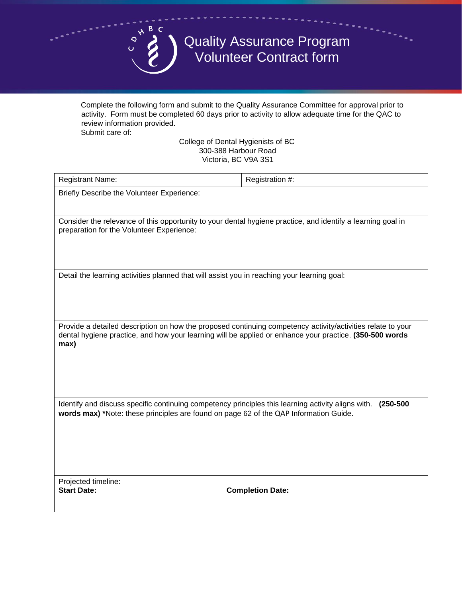

Quality Assurance Program Volunteer Contract form

Complete the following form and submit to the Quality Assurance Committee for approval prior to activity. Form must be completed 60 days prior to activity to allow adequate time for the QAC to review information provided.

Submit care of:

College of Dental Hygienists of BC 300-388 Harbour Road Victoria, BC V9A 3S1

| <b>Registrant Name:</b>                                                                                                                                                                                                        | Registration #:         |
|--------------------------------------------------------------------------------------------------------------------------------------------------------------------------------------------------------------------------------|-------------------------|
| Briefly Describe the Volunteer Experience:                                                                                                                                                                                     |                         |
|                                                                                                                                                                                                                                |                         |
| Consider the relevance of this opportunity to your dental hygiene practice, and identify a learning goal in<br>preparation for the Volunteer Experience:                                                                       |                         |
|                                                                                                                                                                                                                                |                         |
|                                                                                                                                                                                                                                |                         |
| Detail the learning activities planned that will assist you in reaching your learning goal:                                                                                                                                    |                         |
|                                                                                                                                                                                                                                |                         |
|                                                                                                                                                                                                                                |                         |
| Provide a detailed description on how the proposed continuing competency activity/activities relate to your<br>dental hygiene practice, and how your learning will be applied or enhance your practice. (350-500 words<br>max) |                         |
|                                                                                                                                                                                                                                |                         |
|                                                                                                                                                                                                                                |                         |
|                                                                                                                                                                                                                                |                         |
| Identify and discuss specific continuing competency principles this learning activity aligns with.<br>$(250 - 500)$<br>words max) *Note: these principles are found on page 62 of the QAP Information Guide.                   |                         |
|                                                                                                                                                                                                                                |                         |
|                                                                                                                                                                                                                                |                         |
|                                                                                                                                                                                                                                |                         |
| Projected timeline:<br><b>Start Date:</b>                                                                                                                                                                                      | <b>Completion Date:</b> |
|                                                                                                                                                                                                                                |                         |
|                                                                                                                                                                                                                                |                         |